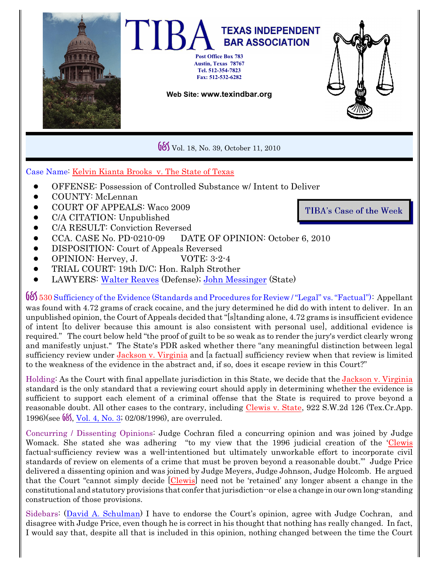

Vol. 18, No. 39, October 11, 2010

## Case Name: *Kelvin Kianta Brooks v. The State of Texas*

- ! OFFENSE: Possession of Controlled Substance w/ Intent to Deliver
- ! COUNTY: McLennan
- ! COURT OF APPEALS: Waco 2009
- ! C/A CITATION: Unpublished
- ! C/A RESULT: Conviction Reversed
- ! CCA. CASE No. PD-0210-09 DATE OF OPINION: October 6, 2010
- ! DISPOSITION: Court of Appeals Reversed
- ! OPINION: Hervey, J. VOTE: 3-2-4
- ! TRIAL COURT: 19th D/C; Hon. Ralph Strother
- ! LAWYERS: [Walter Reaves](http://www.texasbar.com/AM/Template.cfm?Section=Find_A_Lawyer&template=/Customsource/MemberDirectory/MemberDirectoryDetail.cfm&ContactID=183878) (Defense); [John Messinger](http://www.texasbar.com/AM/Template.cfm?Section=Find_A_Lawyer&template=/Customsource/MemberDirectory/MemberDirectoryDetail.cfm&ContactID=290482) (State)

G&S <sup>530</sup> Sufficiency ofthe Evidence (Standards and Procedures for Review /"Legal" vs."Factual"): Appellant was found with 4.72 grams of crack cocaine, and the jury determined he did do with intent to deliver. In an unpublished opinion, the Court of Appeals decided that "[s]tanding alone, 4.72 grams is insufficient evidence of intent [to deliver because this amount is also consistent with personal use], additional evidence is required." The court below held "the proof of guilt to be so weak as to render the jury's verdict clearly wrong and manifestly unjust." The State's PDR asked whether there "any meaningful distinction between legal sufficiency review under *Jackson v. Virginia* and [a factual] sufficiency review when that review is limited to the weakness of the evidence in the abstract and, if so, does it escape review in this Court?"

Holding: As the Court with final appellate jurisdiction in this State, we decide that the *Jackson v. Virginia* standard is the only standard that a reviewing court should apply in determining whether the evidence is sufficient to support each element of a criminal offense that the State is required to prove beyond a reasonable doubt. All other cases to the contrary, including *Clewis v. State*, 922 S.W.2d 126 (Tex.Cr.App. 1996)(see  $\frac{6}{5}$ , [Vol. 4, No. 3](http://www.texindbar.org/members/casesummaries/96-0208-1.pdf); 02/08/1996), are overruled.

Concurring / Dissenting Opinions: Judge Cochran filed a concurring opinion and was joined by Judge Womack. She stated she was adhering "to my view that the 1996 judicial creation of the '*Clewis* factual-sufficiency review was a well-intentioned but ultimately unworkable effort to incorporate civil standards of review on elements of a crime that must be proven beyond a reasonable doubt.'" Judge Price delivered a dissenting opinion and was joined by Judge Meyers, Judge Johnson, Judge Holcomb. He argued that the Court "cannot simply decide [*Clewis*] need not be 'retained' any longer absent a change in the constitutional and statutory provisions that confer that jurisdiction--or else a change in our own long-standing construction of those provisions.

Sidebars: (David A. [Schulman](http://www.texindbar.org/david_schulman.php)) I have to endorse the Court's opinion, agree with Judge Cochran, and disagree with Judge Price, even though he is correct in his thought that nothing has really changed. In fact, I would say that, despite all that is included in this opinion, nothing changed between the time the Court

**TIBA's Case of the Week**